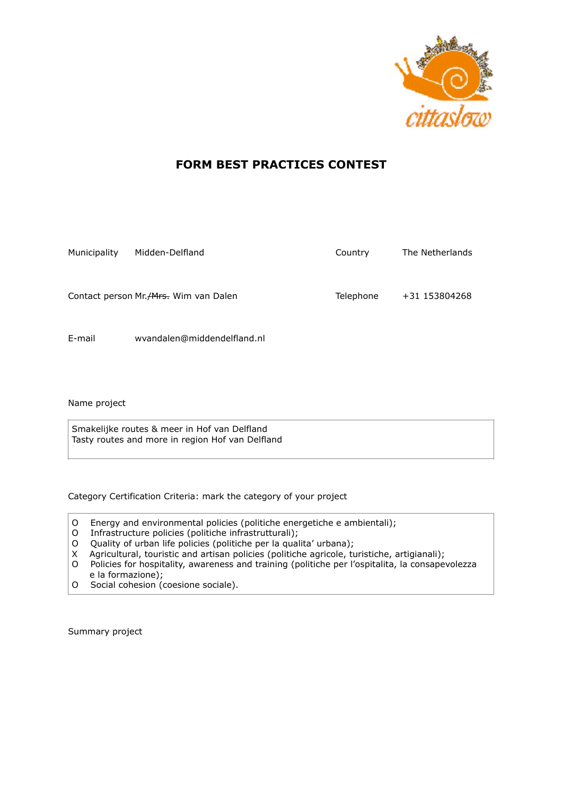

## **FORM BEST PRACTICES CONTEST**

| Municipality | Midden-Delfland                         | Country   | The Netherlands |
|--------------|-----------------------------------------|-----------|-----------------|
|              | Contact person Mr. / Mrs. Wim van Dalen | Telephone | +31 153804268   |
| E-mail       | wvandalen@middendelfland.nl             |           |                 |

Name project

Smakelijke routes & meer in Hof van Delfland Tasty routes and more in region Hof van Delfland

Category Certification Criteria: mark the category of your project

- O Energy and environmental policies (politiche energetiche e ambientali);
- O Infrastructure policies (politiche infrastrutturali);
- O Quality of urban life policies (politiche per la qualita' urbana);
- X Agricultural, touristic and artisan policies (politiche agricole, turistiche, artigianali);
- O Policies for hospitality, awareness and training (politiche per l'ospitalita, la consapevolezza e la formazione);
- O Social cohesion (coesione sociale).

Summary project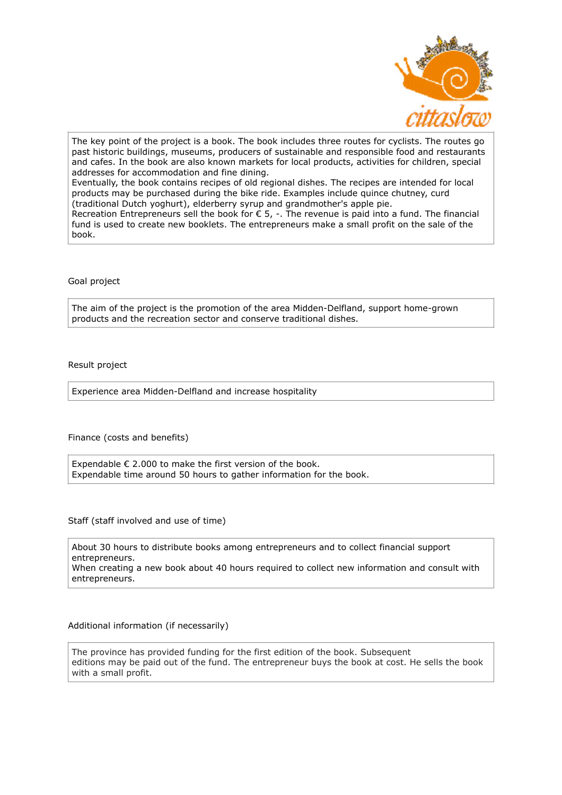

The key point of the project is a book. The book includes three routes for cyclists. The routes go past historic buildings, museums, producers of sustainable and responsible food and restaurants and cafes. In the book are also known markets for local products, activities for children, special addresses for accommodation and fine dining. Eventually, the book contains recipes of old regional dishes. The recipes are intended for local products may be purchased during the bike ride. Examples include quince chutney, curd (traditional Dutch yoghurt), elderberry syrup and grandmother's apple pie. Recreation Entrepreneurs sell the book for  $\epsilon$  5, -. The revenue is paid into a fund. The financial fund is used to create new booklets. The entrepreneurs make a small profit on the sale of the book.

Goal project

The aim of the project is the promotion of the area Midden-Delfland, support home-grown products and the recreation sector and conserve traditional dishes.

Result project

Experience area Midden-Delfland and increase hospitality

Finance (costs and benefits)

Expendable  $\epsilon$  2.000 to make the first version of the book. Expendable time around 50 hours to gather information for the book.

Staff (staff involved and use of time)

About 30 hours to distribute books among entrepreneurs and to collect financial support entrepreneurs. When creating a new book about 40 hours required to collect new information and consult with entrepreneurs.

Additional information (if necessarily)

The province has provided funding for the first edition of the book. Subsequent editions may be paid out of the fund. The entrepreneur buys the book at cost. He sells the book with a small profit.